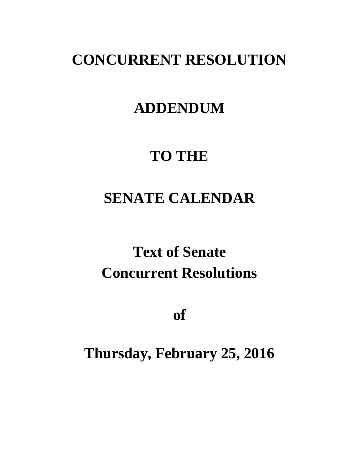# **CONCURRENT RESOLUTION**

# **ADDENDUM**

# **TO THE**

# **SENATE CALENDAR**

# **Text of Senate Concurrent Resolutions**

**of**

# **Thursday, February 25, 2016**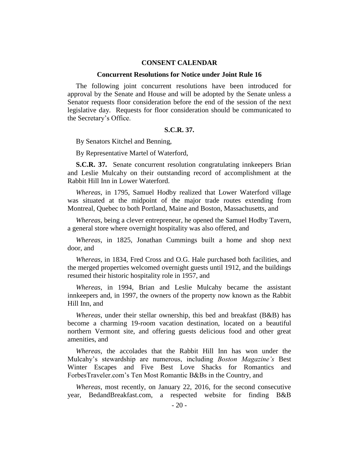#### **CONSENT CALENDAR**

#### **Concurrent Resolutions for Notice under Joint Rule 16**

The following joint concurrent resolutions have been introduced for approval by the Senate and House and will be adopted by the Senate unless a Senator requests floor consideration before the end of the session of the next legislative day. Requests for floor consideration should be communicated to the Secretary's Office.

#### **S.C.R. 37.**

By Senators Kitchel and Benning,

By Representative Martel of Waterford,

**S.C.R. 37.** Senate concurrent resolution congratulating innkeepers Brian and Leslie Mulcahy on their outstanding record of accomplishment at the Rabbit Hill Inn in Lower Waterford.

*Whereas*, in 1795, Samuel Hodby realized that Lower Waterford village was situated at the midpoint of the major trade routes extending from Montreal, Quebec to both Portland, Maine and Boston, Massachusetts, and

*Whereas*, being a clever entrepreneur, he opened the Samuel Hodby Tavern, a general store where overnight hospitality was also offered, and

*Whereas*, in 1825, Jonathan Cummings built a home and shop next door, and

*Whereas*, in 1834, Fred Cross and O.G. Hale purchased both facilities, and the merged properties welcomed overnight guests until 1912, and the buildings resumed their historic hospitality role in 1957, and

*Whereas*, in 1994, Brian and Leslie Mulcahy became the assistant innkeepers and, in 1997, the owners of the property now known as the Rabbit Hill Inn, and

*Whereas*, under their stellar ownership, this bed and breakfast (B&B) has become a charming 19-room vacation destination, located on a beautiful northern Vermont site, and offering guests delicious food and other great amenities, and

*Whereas*, the accolades that the Rabbit Hill Inn has won under the Mulcahy's stewardship are numerous, including *Boston Magazine's* Best Winter Escapes and Five Best Love Shacks for Romantics and ForbesTraveler.com's Ten Most Romantic B&Bs in the Country, and

*Whereas*, most recently, on January 22, 2016, for the second consecutive year, BedandBreakfast.com, a respected website for finding B&B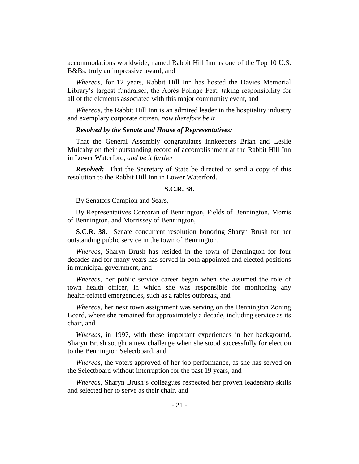accommodations worldwide, named Rabbit Hill Inn as one of the Top 10 U.S. B&Bs, truly an impressive award, and

*Whereas*, for 12 years, Rabbit Hill Inn has hosted the Davies Memorial Library's largest fundraiser, the Après Foliage Fest, taking responsibility for all of the elements associated with this major community event, and

*Whereas*, the Rabbit Hill Inn is an admired leader in the hospitality industry and exemplary corporate citizen, *now therefore be it* 

#### *Resolved by the Senate and House of Representatives:*

That the General Assembly congratulates innkeepers Brian and Leslie Mulcahy on their outstanding record of accomplishment at the Rabbit Hill Inn in Lower Waterford, *and be it further*

*Resolved:* That the Secretary of State be directed to send a copy of this resolution to the Rabbit Hill Inn in Lower Waterford.

#### **S.C.R. 38.**

By Senators Campion and Sears,

By Representatives Corcoran of Bennington, Fields of Bennington, Morris of Bennington, and Morrissey of Bennington,

**S.C.R. 38.** Senate concurrent resolution honoring Sharyn Brush for her outstanding public service in the town of Bennington.

*Whereas*, Sharyn Brush has resided in the town of Bennington for four decades and for many years has served in both appointed and elected positions in municipal government, and

*Whereas*, her public service career began when she assumed the role of town health officer, in which she was responsible for monitoring any health-related emergencies, such as a rabies outbreak, and

*Whereas*, her next town assignment was serving on the Bennington Zoning Board, where she remained for approximately a decade, including service as its chair, and

*Whereas*, in 1997, with these important experiences in her background, Sharyn Brush sought a new challenge when she stood successfully for election to the Bennington Selectboard, and

*Whereas*, the voters approved of her job performance, as she has served on the Selectboard without interruption for the past 19 years, and

*Whereas*, Sharyn Brush's colleagues respected her proven leadership skills and selected her to serve as their chair, and